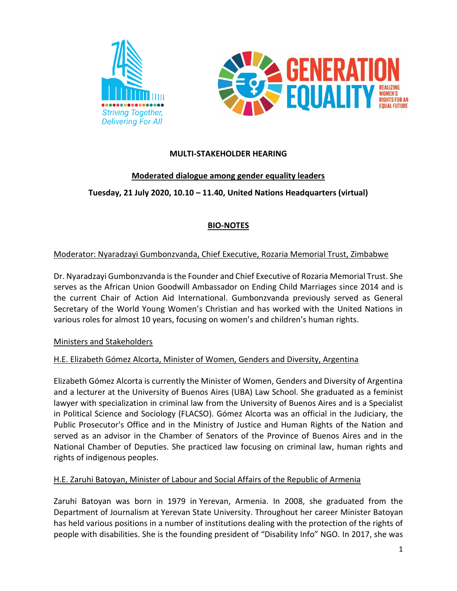



## **MULTI-STAKEHOLDER HEARING**

### **Moderated dialogue among gender equality leaders**

## **Tuesday, 21 July 2020, 10.10 – 11.40, United Nations Headquarters (virtual)**

# **BIO-NOTES**

### Moderator: Nyaradzayi Gumbonzvanda, Chief Executive, Rozaria Memorial Trust, Zimbabwe

Dr. Nyaradzayi Gumbonzvanda is the Founder and Chief Executive of Rozaria Memorial Trust. She serves as the African Union Goodwill Ambassador on Ending Child Marriages since 2014 and is the current Chair of Action Aid International. Gumbonzvanda previously served as General Secretary of the World Young Women's Christian and has worked with the United Nations in various roles for almost 10 years, focusing on women's and children's human rights.

#### Ministers and Stakeholders

### H.E. Elizabeth Gómez Alcorta, Minister of Women, Genders and Diversity, Argentina

Elizabeth Gómez Alcorta is currently the Minister of Women, Genders and Diversity of Argentina and a lecturer at the University of Buenos Aires (UBA) Law School. She graduated as a feminist lawyer with specialization in criminal law from the University of Buenos Aires and is a Specialist in Political Science and Sociology (FLACSO). Gómez Alcorta was an official in the Judiciary, the Public Prosecutor's Office and in the Ministry of Justice and Human Rights of the Nation and served as an advisor in the Chamber of Senators of the Province of Buenos Aires and in the National Chamber of Deputies. She practiced law focusing on criminal law, human rights and rights of indigenous peoples.

### H.E. Zaruhi Batoyan, Minister of Labour and Social Affairs of the Republic of Armenia

Zaruhi Batoyan was born in 1979 in Yerevan, Armenia. In 2008, she graduated from the Department of Journalism at Yerevan State University. Throughout her career Minister Batoyan has held various positions in a number of institutions dealing with the protection of the rights of people with disabilities. She is the founding president of "Disability Info" NGO. In 2017, she was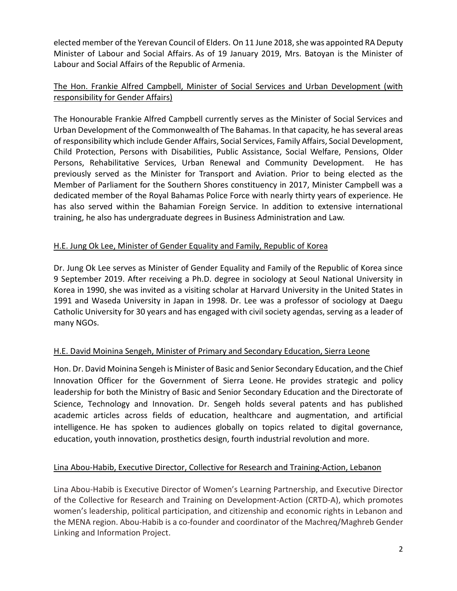elected member of the Yerevan Council of Elders. On 11 June 2018, she was appointed RA Deputy Minister of Labour and Social Affairs. As of 19 January 2019, Mrs. Batoyan is the Minister of Labour and Social Affairs of the Republic of Armenia.

## The Hon. Frankie Alfred Campbell, Minister of Social Services and Urban Development (with responsibility for Gender Affairs)

The Honourable Frankie Alfred Campbell currently serves as the Minister of Social Services and Urban Development of the Commonwealth of The Bahamas. In that capacity, he has several areas of responsibility which include Gender Affairs, Social Services, Family Affairs, Social Development, Child Protection, Persons with Disabilities, Public Assistance, Social Welfare, Pensions, Older Persons, Rehabilitative Services, Urban Renewal and Community Development. He has previously served as the Minister for Transport and Aviation. Prior to being elected as the Member of Parliament for the Southern Shores constituency in 2017, Minister Campbell was a dedicated member of the Royal Bahamas Police Force with nearly thirty years of experience. He has also served within the Bahamian Foreign Service. In addition to extensive international training, he also has undergraduate degrees in Business Administration and Law.

## H.E. Jung Ok Lee, Minister of Gender Equality and Family, Republic of Korea

Dr. Jung Ok Lee serves as Minister of Gender Equality and Family of the Republic of Korea since 9 September 2019. After receiving a Ph.D. degree in sociology at Seoul National University in Korea in 1990, she was invited as a visiting scholar at Harvard University in the United States in 1991 and Waseda University in Japan in 1998. Dr. Lee was a professor of sociology at Daegu Catholic University for 30 years and has engaged with civil society agendas, serving as a leader of many NGOs.

# H.E. David Moinina Sengeh, Minister of Primary and Secondary Education, Sierra Leone

Hon. Dr. David Moinina Sengeh is Minister of Basic and Senior Secondary Education, and the Chief Innovation Officer for the Government of Sierra Leone. He provides strategic and policy leadership for both the Ministry of Basic and Senior Secondary Education and the Directorate of Science, Technology and Innovation. Dr. Sengeh holds several patents and has published academic articles across fields of education, healthcare and augmentation, and artificial intelligence. He has spoken to audiences globally on topics related to digital governance, education, youth innovation, prosthetics design, fourth industrial revolution and more.

### Lina Abou-Habib, Executive Director, Collective for Research and Training-Action, Lebanon

Lina Abou-Habib is Executive Director of Women's Learning Partnership, and Executive Director of the Collective for Research and Training on Development-Action (CRTD-A), which promotes women's leadership, political participation, and citizenship and economic rights in Lebanon and the MENA region. Abou-Habib is a co-founder and coordinator of the Machreq/Maghreb Gender Linking and Information Project.